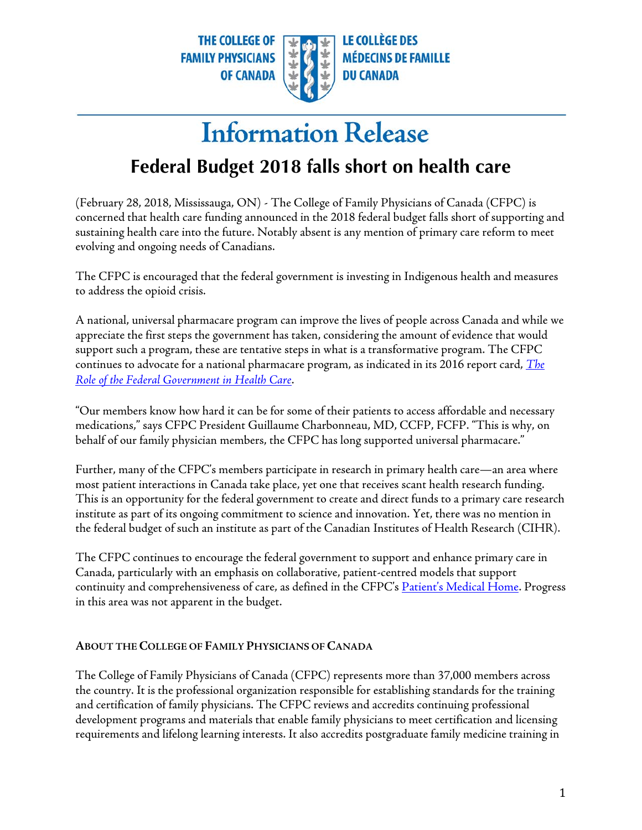**THE COLLEGE OF FAMILY PHYSICIANS OF CANADA** 

**LE COLLÈGE DES MÉDECINS DE FAMILLE DU CANADA** 

## **Information Release**

## **Federal Budget 2018 falls short on health care**

 (February 28, 2018, Mississauga, ON) - The College of Family Physicians of Canada (CFPC) is evolving and ongoing needs of Canadians. concerned that health care funding announced in the 2018 federal budget falls short of supporting and sustaining health care into the future. Notably absent is any mention of primary care reform to meet

 The CFPC is encouraged that the federal government is investing in Indigenous health and measures to address the opioid crisis.

 A national, universal pharmacare program can improve the lives of people across Canada and while we appreciate the first steps the government has taken, considering the amount of evidence that would continues to advocate for a national pharmacare program, as indicated in its 2016 report card, *[The](http://www.cfpc.ca/uploadedFiles/Health_Policy/_PDFs/2016ReportCard.pdf)*  Role of the Federal Government in Health Care. support such a program, these are tentative steps in what is a transformative program. The CFPC

 behalf of our family physician members, the CFPC has long supported universal pharmacare." *Role of the Federal Government in Health Care*[.](http://www.cfpc.ca/uploadedFiles/Health_Policy/_PDFs/2016ReportCard.pdf) "Our members know how hard it can be for some of their patients to access affordable and necessary medications," says CFPC President Guillaume Charbonneau, MD, CCFP, FCFP. "This is why, on

 Further, many of the CFPC's members participate in research in primary health care—an area where This is an opportunity for the federal government to create and direct funds to a primary care research institute as part of its ongoing commitment to science and innovation. Yet, there was no mention in most patient interactions in Canada take place, yet one that receives scant health research funding. the federal budget of such an institute as part of the Canadian Institutes of Health Research (CIHR).

 The CFPC continues to encourage the federal government to support and enhance primary care in continuity and comprehensiveness of care, as defined in the CFPC's <u>Patient's Medical Home</u>. Progress in this area was not apparent in the budget. Canada, particularly with an emphasis on collaborative, patient-centred models that support

## **ABOUT THE COLLEGE OF FAMILY PHYSICIANS OF CANADA**

 the country. It is the professional organization responsible for establishing standards for the training and certification of family physicians. The CFPC reviews and accredits continuing professional requirements and lifelong learning interests. It also accredits postgraduate family medicine training in The College of Family Physicians of Canada (CFPC) represents more than 37,000 members across development programs and materials that enable family physicians to meet certification and licensing